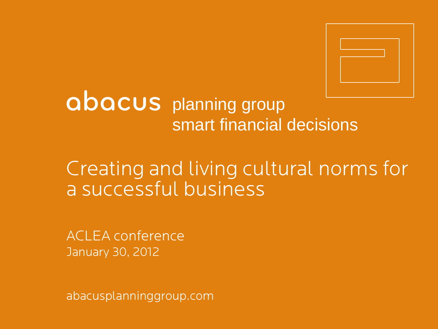

# abacus planning group smart financial decisions

## Creating and living cultural norms for a successful business

ACLEA conference January 30, 2012

abacusplanninggroup.com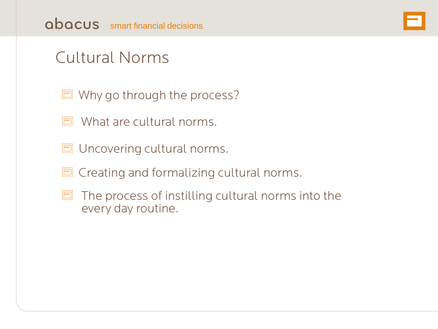

## Cultural Norms

- **同** Why go through the process?
- $\Box$  What are cultural norms.
- **同 Uncovering cultural norms.**
- $\Box$  Creating and formalizing cultural norms.
- $\Box$  The process of instilling cultural norms into the every day routine.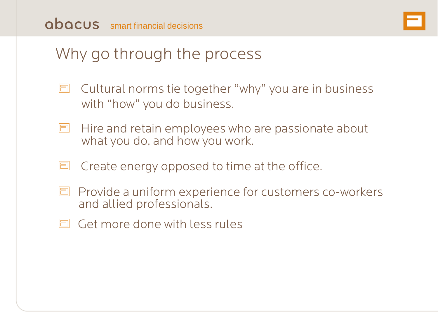#### Why go through the process

- $\Box$  Cultural norms tie together "why" you are in business with "how" you do business.
- Hire and retain employees who are passionate about<br>what you do, and how you work.
- $\Box$  Create energy opposed to time at the office.
- **P** Provide a uniform experience for customers co-workers and allied professionals.
- $\Box$  Get more done with less rules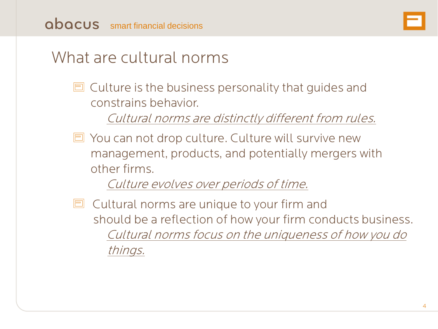#### What are cultural norms

 $\Box$  Culture is the business personality that guides and constrains behavior.

Cultural norms are distinctly different from rules.

**□** You can not drop culture. Culture will survive new management, products, and potentially mergers with other firms.

Culture evolves over periods of time.

 $\Box$  Cultural norms are unique to your firm and should be a reflection of how your firm conducts business. Cultural norms focus on the uniqueness of how you do things.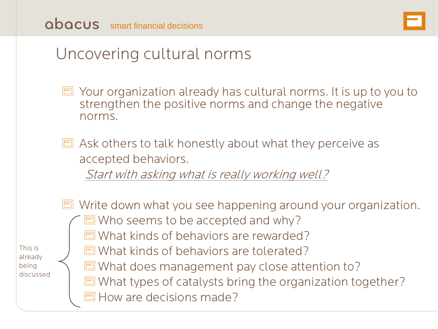

#### Uncovering cultural norms

- Your organization already has cultural norms. It is up to you to<br>strengthen the positive norms and change the negative<br>norms.
- $\Box$  Ask others to talk honestly about what they perceive as accepted behaviors.

Start with asking what is really working well?

This is already being discussed

 $\Box$  Who seems to be accepted and why?  $\Box$  What kinds of behaviors are rewarded? **E** What kinds of behaviors are tolerated? **E** What does management pay close attention to? **E** What types of catalysts bring the organization together? **O** How are decisions made?

 $\Box$  Write down what you see happening around your organization.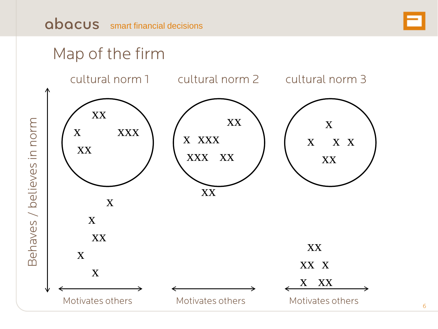## Map of the firm

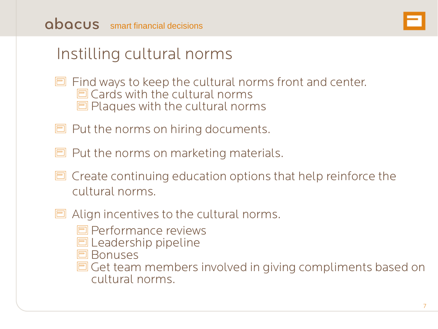

#### Instilling cultural norms

- $\Box$  Find ways to keep the cultural norms front and center.  $\Box$  Cards with the cultural norms  $\Box$  Plaques with the cultural norms
- $\Box$  Put the norms on hiring documents.
- $\Box$  Put the norms on marketing materials.
- $\Box$  Create continuing education options that help reinforce the cultural norms.
- $\Box$  Align incentives to the cultural norms.
	- **Performance reviews**
	- **同 Leadership pipeline**
	- **E** Bonuses
	- **E** Get team members involved in giving compliments based on cultural norms.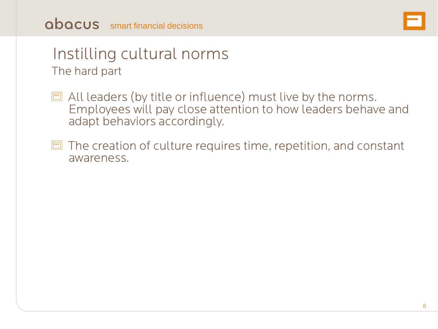#### abacus smart financial decisions



#### Instilling cultural norms The hard part

- **E** All leaders (by title or influence) must live by the norms.<br>Employees will pay close attention to how leaders behave and adapt behaviors accordingly.
- $\Box$  The creation of culture requires time, repetition, and constant awareness.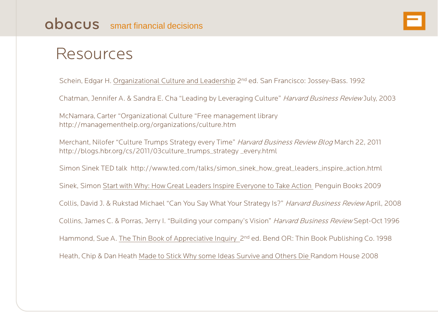#### Resources

Schein, Edgar H. Organizational Culture and Leadership 2nd ed. San Francisco: Jossey-Bass. 1992

Chatman, Jennifer A. & Sandra E. Cha "Leading by Leveraging Culture" Harvard Business Review July, 2003

McNamara, Carter "Organizational Culture "Free management library http://managementhelp.org/organizations/culture.htm

Merchant, Nilofer "Culture Trumps Strategy every Time" Harvard Business Review Blog March 22, 2011 http://blogs.hbr.org/cs/2011/03culture\_trumps\_strategy \_every.html

Simon Sinek TED talk http://www.ted.com/talks/simon\_sinek\_how\_great\_leaders\_inspire\_action.html

Sinek, Simon Start with Why: How Great Leaders Inspire Everyone to Take Action Penguin Books 2009

Collis, David J. & Rukstad Michael "Can You Say What Your Strategy Is?" Harvard Business Review April, 2008

Collins, James C. & Porras, Jerry I. "Building your company's Vision" Harvard Business Review Sept-Oct 1996

Hammond, Sue A. The Thin Book of Appreciative Inquiry 2<sup>nd</sup> ed. Bend OR: Thin Book Publishing Co. 1998

Heath, Chip & Dan Heath Made to Stick Why some Ideas Survive and Others Die Random House 2008